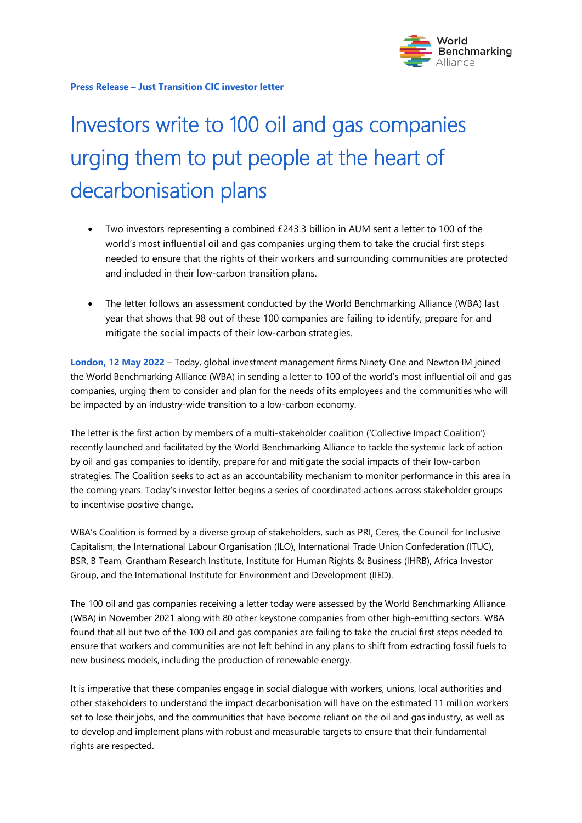

# Investors write to 100 oil and gas companies urging them to put people at the heart of decarbonisation plans

- Two investors representing a combined £243.3 billion in AUM sent a letter to 100 of the world's most influential oil and gas companies urging them to take the crucial first steps needed to ensure that the rights of their workers and surrounding communities are protected and included in their low-carbon transition plans.
- The letter follows an assessment conducted by the World Benchmarking Alliance (WBA) last year that shows that 98 out of these 100 companies are failing to identify, prepare for and mitigate the social impacts of their low-carbon strategies.

**London, 12 May 2022** – Today, global investment management firms Ninety One and Newton IM joined the World Benchmarking Alliance (WBA) in sending a letter to 100 of the world's most influential oil and gas companies, urging them to consider and plan for the needs of its employees and the communities who will be impacted by an industry-wide transition to a low-carbon economy.

The letter is the first action by members of a multi-stakeholder coalition ('Collective Impact Coalition') recently launched and facilitated by the World Benchmarking Alliance to tackle the systemic lack of action by oil and gas companies to identify, prepare for and mitigate the social impacts of their low-carbon strategies. The Coalition seeks to act as an accountability mechanism to monitor performance in this area in the coming years. Today's investor letter begins a series of coordinated actions across stakeholder groups to incentivise positive change.

WBA's Coalition is formed by a diverse group of stakeholders, such as PRI, Ceres, the Council for Inclusive Capitalism, the International Labour Organisation (ILO), International Trade Union Confederation (ITUC), BSR, B Team, Grantham Research Institute, Institute for Human Rights & Business (IHRB), Africa Investor Group, and the International Institute for Environment and Development (IIED).

The 100 oil and gas companies receiving a letter today were assessed by the World Benchmarking Alliance (WBA) in November 2021 along with 80 other keystone companies from other high-emitting sectors. WBA found that all but two of the 100 oil and gas companies are failing to take the crucial first steps needed to ensure that workers and communities are not left behind in any plans to shift from extracting fossil fuels to new business models, including the production of renewable energy.

It is imperative that these companies engage in social dialogue with workers, unions, local authorities and other stakeholders to understand the impact decarbonisation will have on the estimated 11 million workers set to lose their jobs, and the communities that have become reliant on the oil and gas industry, as well as to develop and implement plans with robust and measurable targets to ensure that their fundamental rights are respected.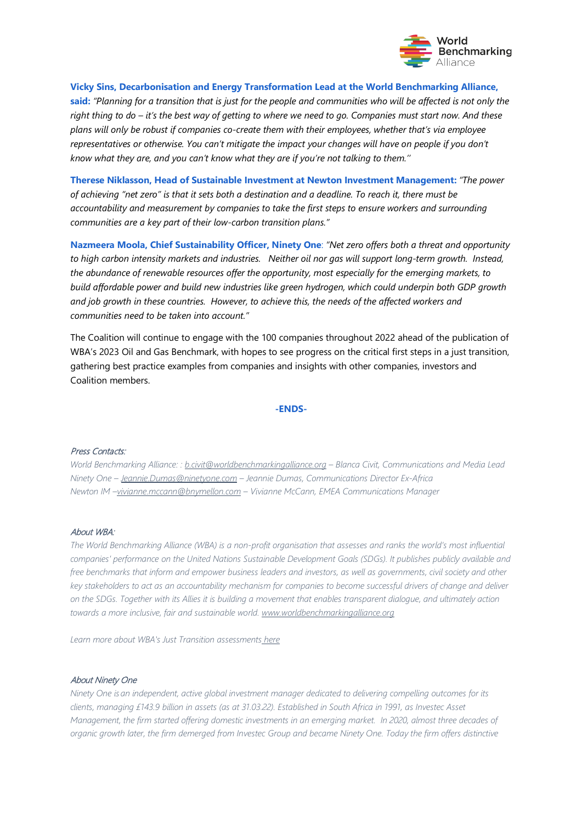

## **Vicky Sins, Decarbonisation and Energy Transformation Lead at the World Benchmarking Alliance,**

**said:** *"Planning for a transition that is just for the people and communities who will be affected is not only the right thing to do – it's the best way of getting to where we need to go. Companies must start now. And these plans will only be robust if companies co-create them with their employees, whether that's via employee representatives or otherwise. You can't mitigate the impact your changes will have on people if you don't know what they are, and you can't know what they are if you're not talking to them.''*

**Therese Niklasson, Head of Sustainable Investment at Newton Investment Management:** *"The power of achieving "net zero" is that it sets both a destination and a deadline. To reach it, there must be accountability and measurement by companies to take the first steps to ensure workers and surrounding communities are a key part of their low-carbon transition plans."*

**Nazmeera Moola, Chief Sustainability Officer, Ninety One**: *"Net zero offers both a threat and opportunity to high carbon intensity markets and industries. Neither oil nor gas will support long-term growth. Instead, the abundance of renewable resources offer the opportunity, most especially for the emerging markets, to build affordable power and build new industries like green hydrogen, which could underpin both GDP growth and job growth in these countries. However, to achieve this, the needs of the affected workers and communities need to be taken into account."*

The Coalition will continue to engage with the 100 companies throughout 2022 ahead of the publication of WBA's 2023 Oil and Gas Benchmark, with hopes to see progress on the critical first steps in a just transition, gathering best practice examples from companies and insights with other companies, investors and Coalition members.

#### **-ENDS-**

## Press Contacts:

*World Benchmarking Alliance: : [b.civit@worldbenchmarkingalliance.org](mailto:b.civit@worldbenchmarkingalliance.org) – Blanca Civit, Communications and Media Lead Ninety One – [Jeannie.Dumas@ninetyone.com](mailto:Jeannie.Dumas@ninetyone.com) – Jeannie Dumas, Communications Director Ex-Africa Newton IM [–vivianne.mccann@bnymellon.com](mailto:vivianne.mccann@bnymellon.com) – Vivianne McCann, EMEA Communications Manager*

#### About WBA:

*The World Benchmarking Alliance (WBA) is a non-profit organisation that assesses and ranks the world's most influential companies' performance on the United Nations Sustainable Development Goals (SDGs). It publishes publicly available and free benchmarks that inform and empower business leaders and investors, as well as governments, civil society and other key stakeholders to act as an accountability mechanism for companies to become successful drivers of change and deliver on the SDGs. Together with its Allies it is building a movement that enables transparent dialogue, and ultimately action towards a more inclusive, fair and sustainable world. [www.worldbenchmarkingalliance.org](http://www.worldbenchmarkingalliance.org/)* 

*Learn more about WBA's Just Transition assessments [here](https://www.worldbenchmarkingalliance.org/just-transition/)*

## About Ninety One

*Ninety One is an independent, active global investment manager dedicated to delivering compelling outcomes for its clients, managing £143.9 billion in assets (as at 31.03.22). Established in South Africa in 1991, as Investec Asset Management, the firm started offering domestic investments in an emerging market. In 2020, almost three decades of organic growth later, the firm demerged from Investec Group and became Ninety One. Today the firm offers distinctive*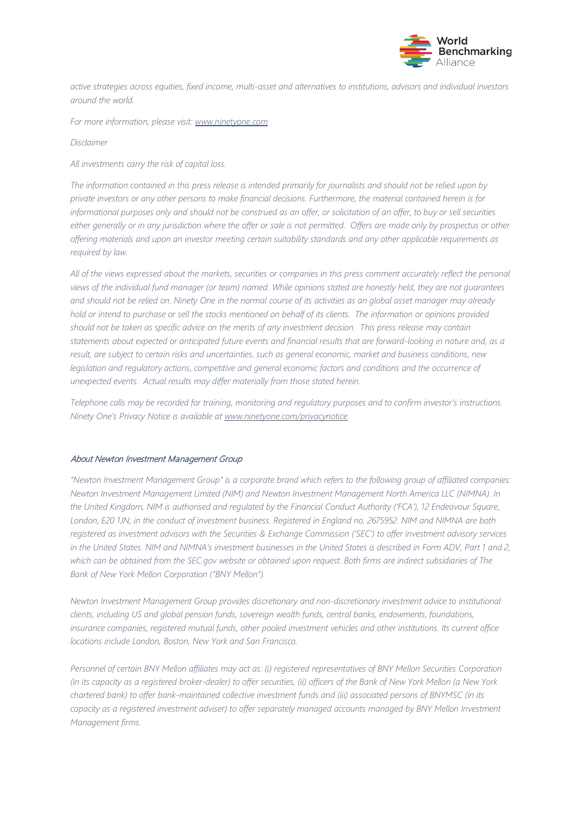

*active strategies across equities, fixed income, multi-asset and alternatives to institutions, advisors and individual investors around the world.* 

*For more information, please visit: [www.ninetyone.com](http://www.ninetyone.com/)* 

*Disclaimer*

*All investments carry the risk of capital loss.*

*The information contained in this press release is intended primarily for journalists and should not be relied upon by private investors or any other persons to make financial decisions. Furthermore, the material contained herein is for informational purposes only and should not be construed as an offer, or solicitation of an offer, to buy or sell securities*  either generally or in any jurisdiction where the offer or sale is not permitted. Offers are made only by prospectus or other *offering materials and upon an investor meeting certain suitability standards and any other applicable requirements as required by law.* 

*All of the views expressed about the markets, securities or companies in this press comment accurately reflect the personal views of the individual fund manager (or team) named. While opinions stated are honestly held, they are not guarantees and should not be relied on. Ninety One in the normal course of its activities as an global asset manager may already hold or intend to purchase or sell the stocks mentioned on behalf of its clients. The information or opinions provided should not be taken as specific advice on the merits of any investment decision. This press release may contain statements about expected or anticipated future events and financial results that are forward-looking in nature and, as a result, are subject to certain risks and uncertainties, such as general economic, market and business conditions, new legislation and regulatory actions, competitive and general economic factors and conditions and the occurrence of unexpected events. Actual results may differ materially from those stated herein.* 

*Telephone calls may be recorded for training, monitoring and regulatory purposes and to confirm investor's instructions. Ninety One's Privacy Notice is available at [www.ninetyone.com/privacynotice.](http://www.ninetyone.com/privacynotice)* 

## About Newton Investment Management Group

*"Newton Investment Management Group" is a corporate brand which refers to the following group of affiliated companies: Newton Investment Management Limited (NIM) and Newton Investment Management North America LLC (NIMNA). In the United Kingdom, NIM is authorised and regulated by the Financial Conduct Authority ('FCA'), 12 Endeavour Square, London, E20 1JN, in the conduct of investment business. Registered in England no. 2675952. NIM and NIMNA are both registered as investment advisors with the Securities & Exchange Commission ('SEC') to offer investment advisory services in the United States. NIM and NIMNA's investment businesses in the United States is described in Form ADV, Part 1 and 2, which can be obtained from the SEC.gov website or obtained upon request. Both firms are indirect subsidiaries of The Bank of New York Mellon Corporation ("BNY Mellon").* 

*Newton Investment Management Group provides discretionary and non-discretionary investment advice to institutional clients, including US and global pension funds, sovereign wealth funds, central banks, endowments, foundations, insurance companies, registered mutual funds, other pooled investment vehicles and other institutions. Its current office locations include London, Boston, New York and San Francisco.* 

*Personnel of certain BNY Mellon affiliates may act as: (i) registered representatives of BNY Mellon Securities Corporation (in its capacity as a registered broker-dealer) to offer securities, (ii) officers of the Bank of New York Mellon (a New York chartered bank) to offer bank-maintained collective investment funds and (iii) associated persons of BNYMSC (in its*  capacity as a registered investment adviser) to offer separately managed accounts managed by BNY Mellon Investment *Management firms.*